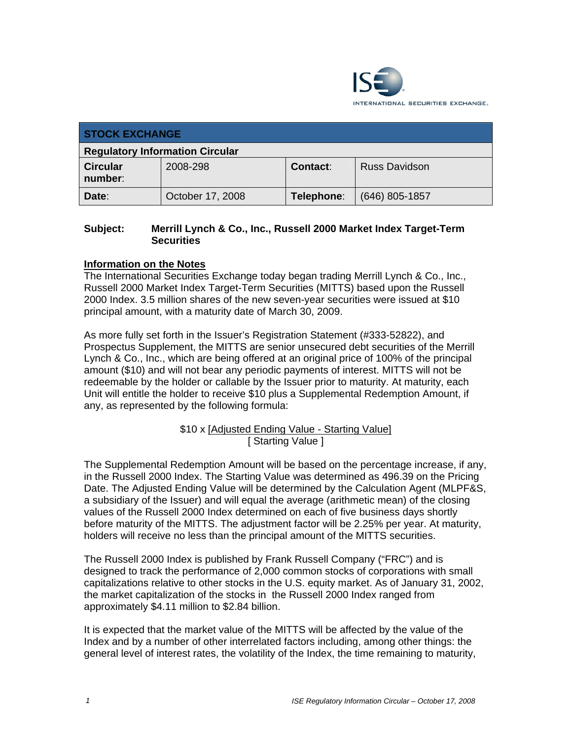

| <b>STOCK EXCHANGE</b>                  |                  |            |                      |  |
|----------------------------------------|------------------|------------|----------------------|--|
| <b>Regulatory Information Circular</b> |                  |            |                      |  |
| <b>Circular</b><br>number:             | 2008-298         | Contact:   | <b>Russ Davidson</b> |  |
| Date:                                  | October 17, 2008 | Telephone: | $(646)$ 805-1857     |  |

## **Subject: Merrill Lynch & Co., Inc., Russell 2000 Market Index Target-Term Securities**

## **Information on the Notes**

The International Securities Exchange today began trading Merrill Lynch & Co., Inc., Russell 2000 Market Index Target-Term Securities (MITTS) based upon the Russell 2000 Index. 3.5 million shares of the new seven-year securities were issued at \$10 principal amount, with a maturity date of March 30, 2009.

As more fully set forth in the Issuer's Registration Statement (#333-52822), and Prospectus Supplement, the MITTS are senior unsecured debt securities of the Merrill Lynch & Co., Inc., which are being offered at an original price of 100% of the principal amount (\$10) and will not bear any periodic payments of interest. MITTS will not be redeemable by the holder or callable by the Issuer prior to maturity. At maturity, each Unit will entitle the holder to receive \$10 plus a Supplemental Redemption Amount, if any, as represented by the following formula:

> \$10 x [Adjusted Ending Value - Starting Value] [ Starting Value ]

The Supplemental Redemption Amount will be based on the percentage increase, if any, in the Russell 2000 Index. The Starting Value was determined as 496.39 on the Pricing Date. The Adjusted Ending Value will be determined by the Calculation Agent (MLPF&S, a subsidiary of the Issuer) and will equal the average (arithmetic mean) of the closing values of the Russell 2000 Index determined on each of five business days shortly before maturity of the MITTS. The adjustment factor will be 2.25% per year. At maturity, holders will receive no less than the principal amount of the MITTS securities.

The Russell 2000 Index is published by Frank Russell Company ("FRC") and is designed to track the performance of 2,000 common stocks of corporations with small capitalizations relative to other stocks in the U.S. equity market. As of January 31, 2002, the market capitalization of the stocks in the Russell 2000 Index ranged from approximately \$4.11 million to \$2.84 billion.

It is expected that the market value of the MITTS will be affected by the value of the Index and by a number of other interrelated factors including, among other things: the general level of interest rates, the volatility of the Index, the time remaining to maturity,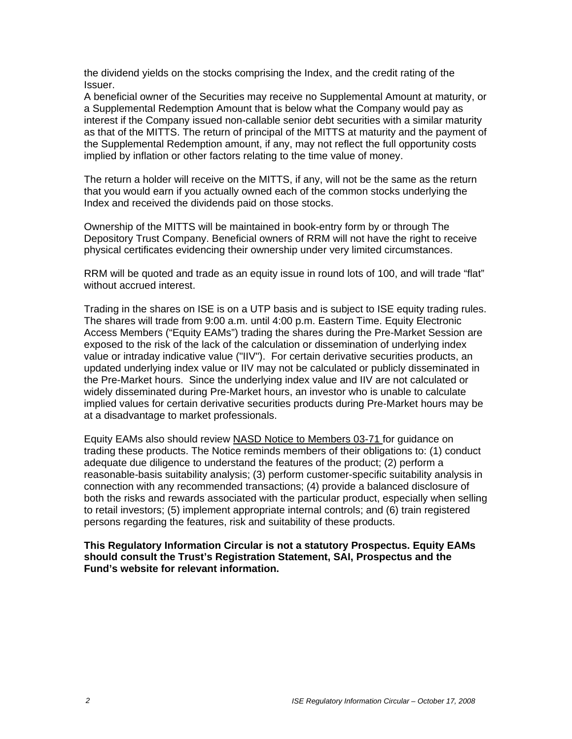the dividend yields on the stocks comprising the Index, and the credit rating of the Issuer.

A beneficial owner of the Securities may receive no Supplemental Amount at maturity, or a Supplemental Redemption Amount that is below what the Company would pay as interest if the Company issued non-callable senior debt securities with a similar maturity as that of the MITTS. The return of principal of the MITTS at maturity and the payment of the Supplemental Redemption amount, if any, may not reflect the full opportunity costs implied by inflation or other factors relating to the time value of money.

The return a holder will receive on the MITTS, if any, will not be the same as the return that you would earn if you actually owned each of the common stocks underlying the Index and received the dividends paid on those stocks.

Ownership of the MITTS will be maintained in book-entry form by or through The Depository Trust Company. Beneficial owners of RRM will not have the right to receive physical certificates evidencing their ownership under very limited circumstances.

RRM will be quoted and trade as an equity issue in round lots of 100, and will trade "flat" without accrued interest.

Trading in the shares on ISE is on a UTP basis and is subject to ISE equity trading rules. The shares will trade from 9:00 a.m. until 4:00 p.m. Eastern Time. Equity Electronic Access Members ("Equity EAMs") trading the shares during the Pre-Market Session are exposed to the risk of the lack of the calculation or dissemination of underlying index value or intraday indicative value ("IIV"). For certain derivative securities products, an updated underlying index value or IIV may not be calculated or publicly disseminated in the Pre-Market hours. Since the underlying index value and IIV are not calculated or widely disseminated during Pre-Market hours, an investor who is unable to calculate implied values for certain derivative securities products during Pre-Market hours may be at a disadvantage to market professionals.

Equity EAMs also should review NASD Notice to Members 03-71 for guidance on trading these products. The Notice reminds members of their obligations to: (1) conduct adequate due diligence to understand the features of the product; (2) perform a reasonable-basis suitability analysis; (3) perform customer-specific suitability analysis in connection with any recommended transactions; (4) provide a balanced disclosure of both the risks and rewards associated with the particular product, especially when selling to retail investors; (5) implement appropriate internal controls; and (6) train registered persons regarding the features, risk and suitability of these products.

**This Regulatory Information Circular is not a statutory Prospectus. Equity EAMs should consult the Trust's Registration Statement, SAI, Prospectus and the Fund's website for relevant information.**